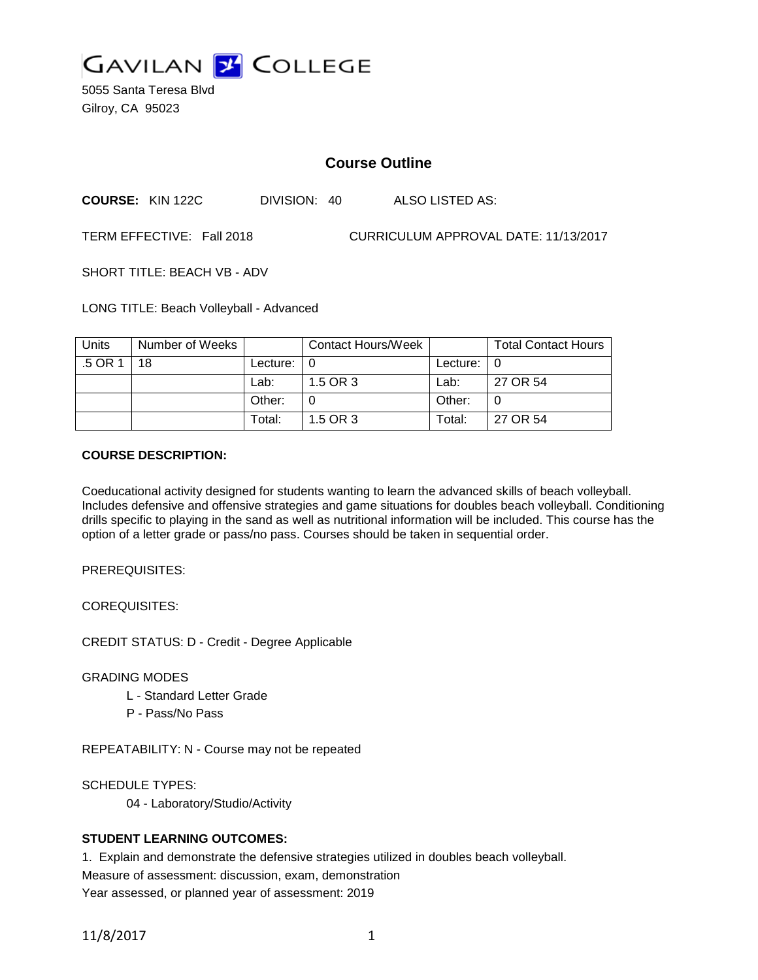

5055 Santa Teresa Blvd Gilroy, CA 95023

# **Course Outline**

**COURSE:** KIN 122C DIVISION: 40 ALSO LISTED AS:

TERM EFFECTIVE: Fall 2018 CURRICULUM APPROVAL DATE: 11/13/2017

SHORT TITLE: BEACH VB - ADV

LONG TITLE: Beach Volleyball - Advanced

| <b>Units</b> | Number of Weeks |                | Contact Hours/Week |               | <b>Total Contact Hours</b> |
|--------------|-----------------|----------------|--------------------|---------------|----------------------------|
| .5 OR 1      | 18              | Lecture: $ 0 $ |                    | Lecture: $ 0$ |                            |
|              |                 | Lab:           | 1.5 OR 3           | Lab:          | 27 OR 54                   |
|              |                 | Other:         |                    | Other:        |                            |
|              |                 | Total:         | 1.5 OR 3           | Total:        | 27 OR 54                   |

#### **COURSE DESCRIPTION:**

Coeducational activity designed for students wanting to learn the advanced skills of beach volleyball. Includes defensive and offensive strategies and game situations for doubles beach volleyball. Conditioning drills specific to playing in the sand as well as nutritional information will be included. This course has the option of a letter grade or pass/no pass. Courses should be taken in sequential order.

PREREQUISITES:

COREQUISITES:

CREDIT STATUS: D - Credit - Degree Applicable

GRADING MODES

- L Standard Letter Grade
- P Pass/No Pass

REPEATABILITY: N - Course may not be repeated

SCHEDULE TYPES:

04 - Laboratory/Studio/Activity

# **STUDENT LEARNING OUTCOMES:**

1. Explain and demonstrate the defensive strategies utilized in doubles beach volleyball. Measure of assessment: discussion, exam, demonstration Year assessed, or planned year of assessment: 2019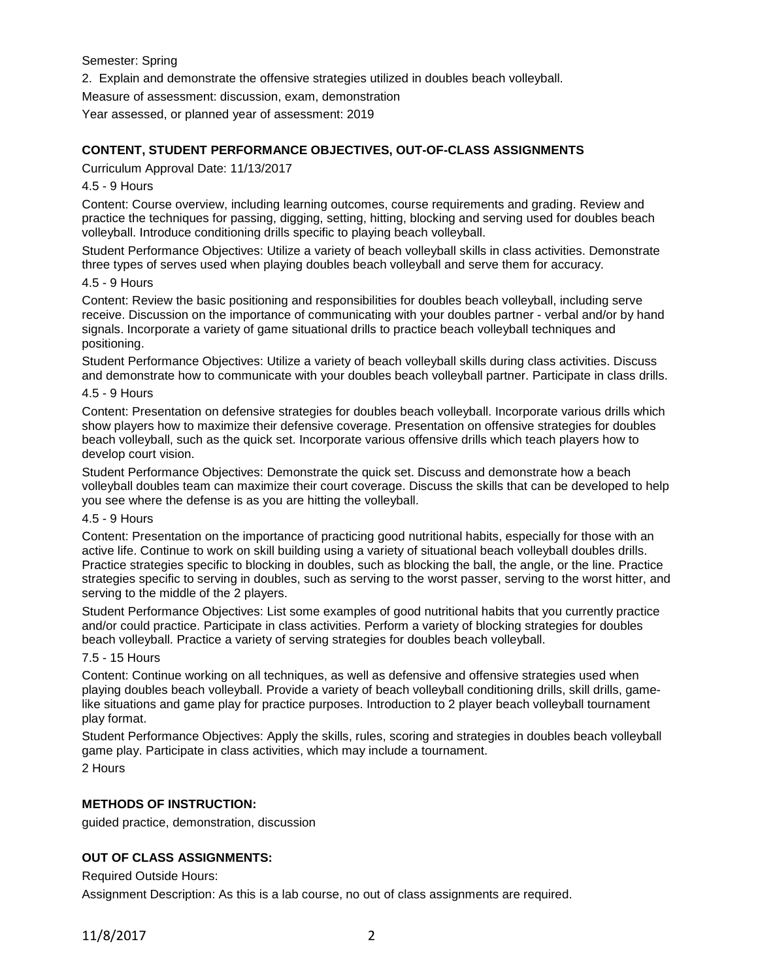Semester: Spring

2. Explain and demonstrate the offensive strategies utilized in doubles beach volleyball.

Measure of assessment: discussion, exam, demonstration

Year assessed, or planned year of assessment: 2019

### **CONTENT, STUDENT PERFORMANCE OBJECTIVES, OUT-OF-CLASS ASSIGNMENTS**

Curriculum Approval Date: 11/13/2017

### 4.5 - 9 Hours

Content: Course overview, including learning outcomes, course requirements and grading. Review and practice the techniques for passing, digging, setting, hitting, blocking and serving used for doubles beach volleyball. Introduce conditioning drills specific to playing beach volleyball.

Student Performance Objectives: Utilize a variety of beach volleyball skills in class activities. Demonstrate three types of serves used when playing doubles beach volleyball and serve them for accuracy.

### 4.5 - 9 Hours

Content: Review the basic positioning and responsibilities for doubles beach volleyball, including serve receive. Discussion on the importance of communicating with your doubles partner - verbal and/or by hand signals. Incorporate a variety of game situational drills to practice beach volleyball techniques and positioning.

Student Performance Objectives: Utilize a variety of beach volleyball skills during class activities. Discuss and demonstrate how to communicate with your doubles beach volleyball partner. Participate in class drills.

### 4.5 - 9 Hours

Content: Presentation on defensive strategies for doubles beach volleyball. Incorporate various drills which show players how to maximize their defensive coverage. Presentation on offensive strategies for doubles beach volleyball, such as the quick set. Incorporate various offensive drills which teach players how to develop court vision.

Student Performance Objectives: Demonstrate the quick set. Discuss and demonstrate how a beach volleyball doubles team can maximize their court coverage. Discuss the skills that can be developed to help you see where the defense is as you are hitting the volleyball.

#### 4.5 - 9 Hours

Content: Presentation on the importance of practicing good nutritional habits, especially for those with an active life. Continue to work on skill building using a variety of situational beach volleyball doubles drills. Practice strategies specific to blocking in doubles, such as blocking the ball, the angle, or the line. Practice strategies specific to serving in doubles, such as serving to the worst passer, serving to the worst hitter, and serving to the middle of the 2 players.

Student Performance Objectives: List some examples of good nutritional habits that you currently practice and/or could practice. Participate in class activities. Perform a variety of blocking strategies for doubles beach volleyball. Practice a variety of serving strategies for doubles beach volleyball.

#### 7.5 - 15 Hours

Content: Continue working on all techniques, as well as defensive and offensive strategies used when playing doubles beach volleyball. Provide a variety of beach volleyball conditioning drills, skill drills, gamelike situations and game play for practice purposes. Introduction to 2 player beach volleyball tournament play format.

Student Performance Objectives: Apply the skills, rules, scoring and strategies in doubles beach volleyball game play. Participate in class activities, which may include a tournament.

2 Hours

# **METHODS OF INSTRUCTION:**

guided practice, demonstration, discussion

# **OUT OF CLASS ASSIGNMENTS:**

Required Outside Hours:

Assignment Description: As this is a lab course, no out of class assignments are required.